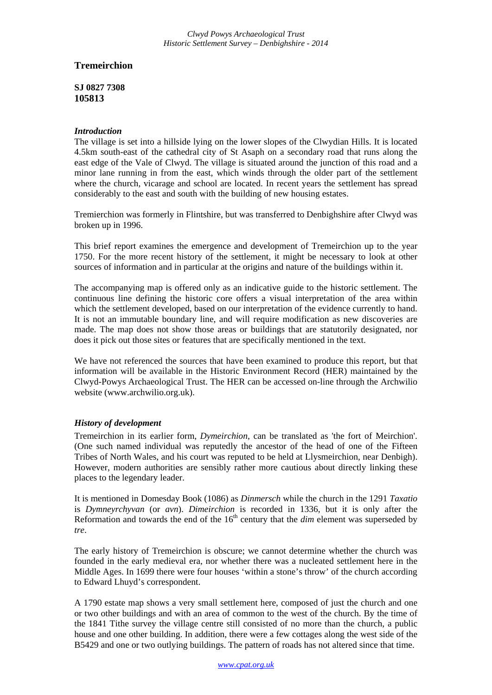## **Tremeirchion**

**SJ 0827 7308 105813** 

## *Introduction*

The village is set into a hillside lying on the lower slopes of the Clwydian Hills. It is located 4.5km south-east of the cathedral city of St Asaph on a secondary road that runs along the east edge of the Vale of Clwyd. The village is situated around the junction of this road and a minor lane running in from the east, which winds through the older part of the settlement where the church, vicarage and school are located. In recent years the settlement has spread considerably to the east and south with the building of new housing estates.

Tremierchion was formerly in Flintshire, but was transferred to Denbighshire after Clwyd was broken up in 1996.

This brief report examines the emergence and development of Tremeirchion up to the year 1750. For the more recent history of the settlement, it might be necessary to look at other sources of information and in particular at the origins and nature of the buildings within it.

The accompanying map is offered only as an indicative guide to the historic settlement. The continuous line defining the historic core offers a visual interpretation of the area within which the settlement developed, based on our interpretation of the evidence currently to hand. It is not an immutable boundary line, and will require modification as new discoveries are made. The map does not show those areas or buildings that are statutorily designated, nor does it pick out those sites or features that are specifically mentioned in the text.

We have not referenced the sources that have been examined to produce this report, but that information will be available in the Historic Environment Record (HER) maintained by the Clwyd-Powys Archaeological Trust. The HER can be accessed on-line through the Archwilio website (www.archwilio.org.uk).

## *History of development*

Tremeirchion in its earlier form, *Dymeirchion*, can be translated as 'the fort of Meirchion'. (One such named individual was reputedly the ancestor of the head of one of the Fifteen Tribes of North Wales, and his court was reputed to be held at Llysmeirchion, near Denbigh). However, modern authorities are sensibly rather more cautious about directly linking these places to the legendary leader.

It is mentioned in Domesday Book (1086) as *Dinmersch* while the church in the 1291 *Taxatio*  is *Dymneyrchyvan* (or *avn*). *Dimeirchion* is recorded in 1336, but it is only after the Reformation and towards the end of the  $16<sup>th</sup>$  century that the *dim* element was superseded by *tre*.

The early history of Tremeirchion is obscure; we cannot determine whether the church was founded in the early medieval era, nor whether there was a nucleated settlement here in the Middle Ages. In 1699 there were four houses 'within a stone's throw' of the church according to Edward Lhuyd's correspondent.

A 1790 estate map shows a very small settlement here, composed of just the church and one or two other buildings and with an area of common to the west of the church. By the time of the 1841 Tithe survey the village centre still consisted of no more than the church, a public house and one other building. In addition, there were a few cottages along the west side of the B5429 and one or two outlying buildings. The pattern of roads has not altered since that time.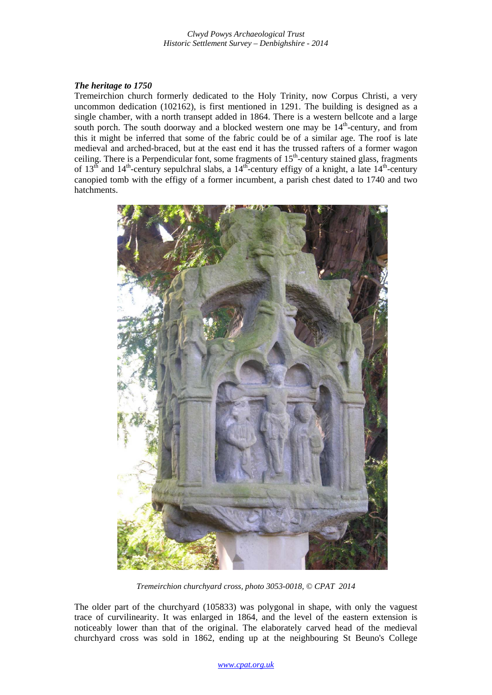## *The heritage to 1750*

Tremeirchion church formerly dedicated to the Holy Trinity, now Corpus Christi, a very uncommon dedication (102162), is first mentioned in 1291. The building is designed as a single chamber, with a north transept added in 1864. There is a western bellcote and a large south porch. The south doorway and a blocked western one may be  $14<sup>th</sup>$ -century, and from this it might be inferred that some of the fabric could be of a similar age. The roof is late medieval and arched-braced, but at the east end it has the trussed rafters of a former wagon ceiling. There is a Perpendicular font, some fragments of  $15<sup>th</sup>$ -century stained glass, fragments of  $13<sup>th</sup>$  and  $14<sup>th</sup>$ -century sepulchral slabs, a  $14<sup>th</sup>$ -century effigy of a knight, a late  $14<sup>th</sup>$ -century canopied tomb with the effigy of a former incumbent, a parish chest dated to 1740 and two hatchments.



*Tremeirchion churchyard cross, photo 3053-0018, © CPAT 2014* 

The older part of the churchyard (105833) was polygonal in shape, with only the vaguest trace of curvilinearity. It was enlarged in 1864, and the level of the eastern extension is noticeably lower than that of the original. The elaborately carved head of the medieval churchyard cross was sold in 1862, ending up at the neighbouring St Beuno's College